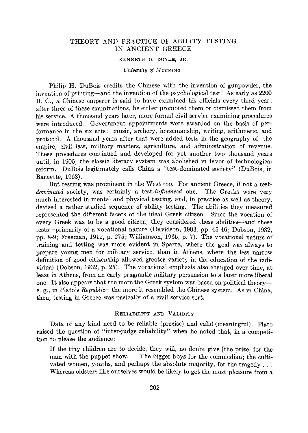# THEORY AND PRACTICE OF ABILITY TESTING IN ANCIENT GREECE

#### **KENNETH 0. DOYLE, JR.**

#### *University* of *Minnesota*

Philip H. DuBois credits the Chinese with the invention of gunpowder, the invention of printing-and the invention of the psychological test! AS early as **2200**  B. C., a Chinese emperor is said to have examined his officials every third year; after three of these examinations, he either promoted them or dismissed them from his service. A thousand years later, more formal civil service examining procedures were introduced. Government appointments were awarded on the basis of performance in the six arts: music, archery, horsemanship, writing, arithmetic, and protocol. A thousand years after that were added tests in the geography of the empire, civil law, military matters, agriculture, and administration of revenue. These procedures continued and developed for yet another two thousand years until, in **1905,** the classic literary system was abolished in favor of technological reform. DuBois legitimately calls China a "test-dominated society" (DuBois, in Barnette, **1968).** 

But testing was prominent in the West too. For ancient Greece, if not a testdominated society, was certainly a test-influenced one. The Grecks were very much interested in mental and physical testing, and, in practice as well as theory, devised a rather studied sequence of ability testing. The abilities they measured represented the different facets of the ideal Greek citizen. Since the vocation of every Greek was to be a good citizen, they considered these abilities—and these tests-primarily of a vocational nature (Davidson, **1903,** pp. **45-46;** Dobson, **1932,**  pp. 8-9; Freeman, **1912,** p. **275;** Williamson, **1965,** p. **7).** The vocational nature of training and testing was more evident in Sparta, where the goal was always to prepare young men for military service, than in Athens, where the less narrow definition of good citizenship allowed greater variety in the education of the individual (Dobson, **1932,** p. **25).** The vocational emphasis also changed over time, at least in Athens, from an early pragmatic military persuasion to a later more liberal one. It also appears that the more the Greek system was based on political theorye. g., in Plato's Republic-the more it resembled the Chinese system. **As** in China, then, testing in Greece was basically of a civil service sort.

# **RELIABILITY AND VALIDITY**

Data of any kind need to be reliable (precise) and valid (meaningful). Plato raised the question of "inter-judge reliability" when he noted that, in a competition to please the audience:

If the tiny children are to decide, they will, no doubt give [the prize] for the man with the puppet show. . . The bigger boys for the commedian; the cultivated women, youths, and perhaps the absolute majority, for the tragedy . . . Whereas oldsters like ourselves would be likely to get the most pleasure from a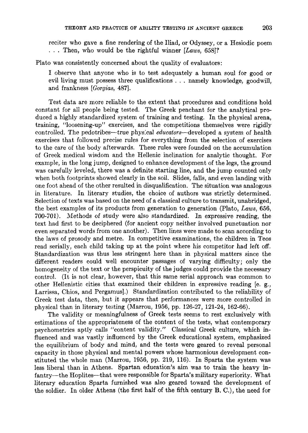reciter who gave a fine rendering of the Iliad, or Odyssey, or a Hesiodic poem . . . Then, who would be the rightful winner *[Laws,* **658J?** 

Plato was consistently concerned about the quality of evaluators :

I observe that anyone who is to test adequately a human soul for good or evil living must possess three qualifications . . . namely knowledge, goodwill, and frankness *[Gorgias,* 4871.

Test data are more reliable to the extent that procedures and conditions hold constant for all people being tested. The Greek penchant for the analytical produced a highly standardized system of training and testing. In the physical arena, training, "loosening-up" exercises, and the competitions themselves were rigidly controlled. The pedotribes-true physical educators--developed a system of health exercises that followed precise rules for everything from the selection of exercises to the care of the body afterwards. These rules were founded on the accumulation of Greek medical wisdom and the Hellenic inclination for analytic thought. For example, in the long jump, designed to enhance development of the legs, the ground was carefully leveled, there was a definite starting line, and the jump counted only when both footprints showed clearly in the soil. Slides, falls, and even landing with one foot ahead of the other resulted in disqualification. The situation was analogous in literature. In literary studies, the choice of authors was strictly determined. Selection of texts was based on the need of a classical culture to transmit, unabridged, the best examples of its products from generation to generation (Plato, *Laws,* **656, 700-701).** Methods of study were also standardized. In expressive reading, the text had first to be deciphered (for ancient copy neither involved punctuation nor even separated words from one another). Then lines were made to scan according to the laws of prosody and metre. In competitive examinations, the children in Teos read serially, each child taking up at the point where his competitor had left off. Standardization was thus less stringent here than in physical matters since the different readers could well encounter passages of varying difficulty; only the homogeneity of the text or the perspicuity of the judges could provide the necessary control. (It is not clear, however, that this same serial approach was common to other Hellenistic cities that examined their children in expressive reading [e. **g.,**  Larrissa, Chios, and Pergamus].) Standardization contributed to the reliability of Greek test data, then, but it appears that performances were more controlled in physical than in literary testing (Marrou, **1956,** pp. **126-27, 121-24, 162-66).** 

The validity or meaningfulness of Greek tests seems to rest exclusively with estimations of the appropriateness of the content of the tests, what contemporary psychometrics aptly calls "content validity." Classical Greek culture, which influenced and was vastly influenced by the Greek educational system, emphasized the equilibrium of body and mind, and the tests were geared to reveal personal capacity in those physical and mental powers whose harmonious development constituted the whole man (Marrou, 1956, pp. **219, 116).** In Sparta the system was less liberal than in Athens. Spartan education's aim was to train the heavy infantry-the Hoplites-that were responsible for Sparta's military superiority. What literary education Sparta furnished was also geared toward the development of the soldier. In older Athens (the first half of the fifth century B. C.), the need for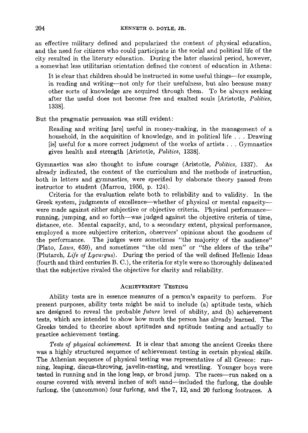an effective military defined and popularized the content of physical education, and the need for citizens who could participate in the social and political life of the city resulted in the literary education. During the later classical period, however, a somewhat less utilitarian orientation defined the content of education in Athens :

It is clear that children should be instructed in some useful things—for example, in reading and writing--not only for their usefulness, but also because many other sorts of knowledge are acquired through them. To be always seeking after the useful does not become free and exalted souls [Aristotle, *Politics,*  **13381.** 

But the pragmatic persuasion was still evident :

Reading and writing [are] useful in money-making, in the management of a household, in the acquisition of knowledge, and in political life . . . Drawing [is] useful for a more correct judgment of the works of artists . . . Gymnastics gives health and strength [Aristotle, *Politics,* **13381.** 

Gymnastics was also thought to infuse courage (Aristotle, *Politics,* **1337).** As already indicated, the content of the curriculum and the methods of instruction, both in letters and gymnastics, were specified by elaborate theory passed from instructor to student (Marrou, **1956,** p. **124).** 

Criteria for the evaluation relate both to reliability and to validity. In the Greek system, judgments of excellence—whether of physical or mental capacity were made against either subjective or objective criteria. Physical performancerunning, jumping, and so forth--was judged against the objective criteria of time, distance, etc. Mental capacity, and, to a secondary extent, physical performance, employed a more subjective criterion, observers' opinions about the goodness of the performance. The judges were sometimes "the majority of the audience" (Plato, *Laws,* **659),** and sometimes "the old men" or "the elders of the tribe" (Plutarch, *Life* of *Lycurgus).* During the period of the well defined Hellenic Ideas (fourth and third centuries B. C.), the criteria for style were so thoroughly delineated that the subjective rivaled the objective for clarity and reliability.

# ACHIEVEMENT TESTING

Ability tests are in essence measures of a person's capacity to perform. For present purposes, ability tests might be said to include (a) aptitude tests, which are designed to reveal the probable *future* level of ability, and (b) achievement tests, which are intended to show how much the person has already learned. The Greeks tended to theorize about aptitudes and aptitude testing and actually to practice achievement testing.

*Tests* of *physical achievement.* It is clear that among the ancient Greeks there was a highly structured sequence of achievement testing in certain physical skills. The Athenian sequence of physical testing was representative of all Greece: running, leaping, discus-throwing, javelin-casting, and wrestling. Younger boys were tested in running and in the long leap, or broad jump. The races-run naked on a course covered with several inches of soft sand-included the furlong, the double furlong, the (uncommon) four furlong, and the **7, 12,** and **20** furlong footraces. **A**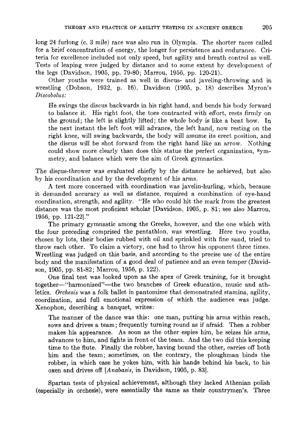long **24** furlong (c. **3** mile) race was also run in Olympia. The shorter races called for a brief concentration of energy, the longer for persistence and endurance. Criteria for excellence included not only speed, but agility and breath control as well. Tests of leaping were judged by distance and to some extent by development of the legs (Davidson, **1905,** pp. **79-80;** Marrou, **1956,** pp. **120-21).** 

Other youths were trained as well in discus- and javeling-throwing and in wrestling (Dobson, **1932,** p. **16).** Davidson **(1905,** p. **18)** describes Myron's **Discobolus:** 

He swings the discus backwards in his right hand, and bends his body forward to balance it. His right foot, the toes contracted with effort, rests firmly on the ground; the left is slightly lifted; the whole body is like a bent bow. In the next instant the left foot will advance, the left hand, now resting on the right knee, will swing backwards, the body will assume its erect position, and the discus will be shot forward from the right hand like an arrow. Nothing could show more clearly than does this statue the perfect organization, Symmetry, and balance which were the aim of Greek gymnastics.

The discus-thrower was evaluated chiefly by the distance he achieved, but also by his coordination and by the development of his arms.

**A** test more concerned with coordination was javelin-hurling, which, because it demanded accuracy as well as distance, required a combination of eye-hand coordination, strength, and agility. "He who could hit the mark from the greatest distance was the most proficient scholar [Davidson, **1905,** p. **81;** see also Marrou, **1956,** pp. **121-221."** 

The primary gymnastic among the Greeks, however, and the one which with the four preceding comprised the pentathlon, was wrestling. Here two youths, chosen by lots, their bodies rubbed with oil and sprinkled with fine sand, tried to throw each other. To claim a victory, one had to throw his opponent three times. Wrestling was judged on this basis, and according to the precise use of the entire body and the manifestation of a good deal of patience and an even temper (Davidson, **1905,** pp. **81-82;** Marrou, **1956,** p. **122).** 

One final test was looked upon as the apex of Greek training, for it brought together--"harmonized"-the two branches of Greek education, music and athletics. *Orchesis* was a folk ballet in pantomime that demonstrated stamina, agility, coordination, and full emotional expression of which the audience was judge. Xenophon, describing a banquet, writes:

The manner of the dance was this: one man, putting his arms within reach, sows and drives a team; frequently turning round as if afraid. Then a robber makes his appearance. As soon as the other espies him, he seizes his arms, advances to him, and fights in front of the team. And the two did this keeping time to the flute. Finally the robber, having bound the other, carries off both him and the team; sometimes, on the contrary, the ploughman binds the robber, in which case he yokes him, with his hands behind his back, to his oxen and drives off **[Anabasis,** in Davidson, **1905, p. 831.** 

Spartan tests of physical achievement, although they lacked Athenian polish (especially in orchesis), were essentially the same as their countrymen's. Three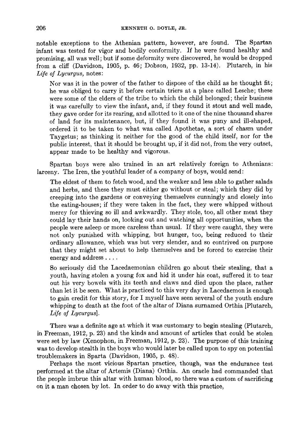notable exceptions to the Athenian pattern, however, are found. The Spartan infant was tested for vigor and bodily conformity. If he were found healthy and promising, all was well; but if some deformity were discovered, he would be dropped from a cliff (Davidson, **1905,** p. **46;** Dobson, **1932,** pp. **13-14).** Plutarch, in his *Life of Lycurgus,* notes:

Nor was it in the power of the father to dispose of the child as he thought fit; he was obliged to carry it before certain triers at a place called Lesche; these were some of the elders of the tribe to which the child belonged; their business it was carefully to view the infant, and, if they found it stout and well made, they gave order for its rearing, and allotted to it one of the nine thousand shares of land for its maintenance, but, if they found it was puny and ill-shaped, ordered it to be taken to what was called Apothetae, a sort of chasm under Taygetus; as thinking it neither for the good of the child itself, nor for the public interest, that it should be brought up, if it did not, from the very outset, appear made to be healthy and vigorous.

Spartan boys were also trained in an art relatively foreign to Athenians: larceny. The Iren, the youthful leader of a company of boys, would send:

The eldest of them to fetch wood, and the weaker and less able to gather salads and herbs, and these they must either go without or steal; which they did by creeping into the gardens or conveying themselves cunningly and closely into the eating-houses; if they were taken in the fact, they were whipped without mercy for thieving so ill and awkwardly. They stole, too, all other meat they could lay their hands on, looking out and watching all opportunities, when the people were asleep or more careless than usual. If they were caught, they were not only punished with whipping, but hunger, too, being reduced to their ordinary allowance, which was but very slender, and so contrived on purpose that they might set about to help themselves and be forced to exercise their energy and address . . . .

So seriously did the Lacedaemonian children go about their stealing, that a youth, having stolen a young fox and hid it under his coat, suffered it to tear out his very bowels with its teeth and claws and died upon the place, rather than let it be seen. What is practiced to this **very** day in Lacedaemon is enough to gain credit for this story, for I myself have seen several of the youth endure whipping to death at the foot of the altar of Diana surnamed Orthia [Plutarch, *Life of Lycurgus].* 

There was a definite age at which it was customary to begin stealing (Plutarch, in Freeman, **1912,** p. **23)** and the kinds and amount of articles that could be stolen were set by law (Xenophon, in Freeman, **1912,** p. **23).** The purpose of this training was to develop stealth in the boys who would later be called upon to spy on potential troublemakers in Sparta (Davidson, **1905,** p. **48).** 

Perhaps the most vicious Spartan practice, though, was the endurance test performed at the altar of Artemis (Diana) Orthia. An oracle had commanded that the people imbrue this altar with human blood, so there was a custom of sacrificing on it a man chosen by lot. In order to do away with this practice,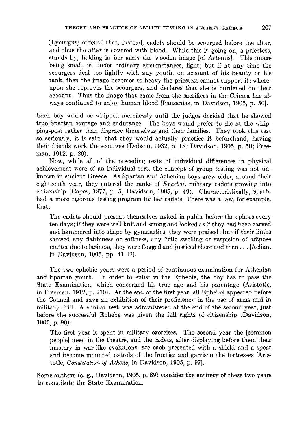[Lycurgus] ordered that, instead, cadets should be scourged before the altar, and thus the altar is covered with blood. While this is going on, a priestess, stands by, holding in her arms the wooden image [of Artemis]. This image being small, is, under ordinary circumstances, light; but if at any time the scourgers deal too lightly with any youth, on account of his beauty or his rank, then the image becomes so heavy the priestess cannot support it; whereupon she reproves the scourgers, and declares that she is burdened on their account. Thus the image that came from the sacrifices in the Crimea has always continued to enjoy human blood [Pausanias, in Davidson, 1905, p. 501.

Each boy would be whipped mercilessly until the judges decided that he showed true Spartan courage and endurance. The boys would prefer to die at the whipping-post rather than disgrace themselves and their families. They took this test so seriously, it is said, that they would actually practice it beforehand, having their friends work the scourges (Dobson, 1932, p. 18; Davidson, 1905, p. 50; Freeman, 1912, p. 29).

Now, while all of the preceding tests of individual differences in physical achievement were of an individual sort, the concept of group testing was not unknown in ancient Greece. As Spartan and Athenian boys grew older, around their eighteenth year, they entered the ranks of *Epheboi,* military cadets growing into citizenship (Capes, 1877, p. 5; Davidson, 1905, p. 49). Characteristically, Sparta had a more rigorous testing program for her cadets. There was a law, for example, that:

The cadets should present themselves naked in public before the ephors every ten days; if they were well knit and strong and looked as if they had been carved and hammered into shape by gymnastics, they were praised; but if their limbs showed any flabbiness or softness, any little swelling or suspicion of adipose matter due to laziness, they were flogged and justiced there and then . . . [Aelian, in Davidson, 1905, pp. 41-42].

The two ephebic years were a period of continuous examination for Athenian and Spartan youth. In order to enlist in the Ephebie, the boy has to pass the State Examination, which concerned his true age and his parentage (Aristotle, in Freeman, 1912, p. 210). At the end of the first year, all Epheboi appeared before the Council and gave an exhibition of their proficiency in the use of arms and in military drill. **A** similar test was administered at the end of the second year, just before the successful Ephebe was given the full rights of citizenship (Davidson, 1905, p. 90) :

The first year is spent in military exercises. The second year the [common people] meet in the theatre, and the cadets, after displaying before them their mastery in war-like evolutions, are each presented with a shield and a spear and become mounted patrols of the frontier and garrison the fortresses [Aristotle, *Constitution of Athens,* in Davidson, 1905, p. 971.

Some authors (e. **g.,** Davidson, 1905, p. 89) consider the entirety of these two years to constitute the State Examination.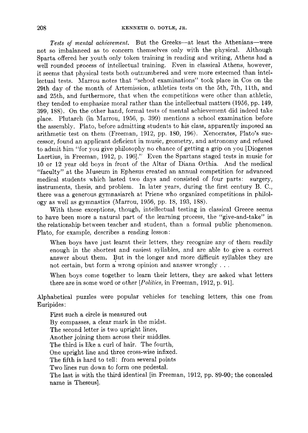Tests of mental achievement. But the Greeks-at least the Athenians-were not so imbalanced as to concern themselves only with the physical. Although Sparta offered her youth only token training in reading and writing, Athens had a well rounded process of intellectual training. Even in classical Athens, however, it seems that physical tests both outnumbered and were more esteemed than intellectual tests. Rlarrou notes that "school examinations" took place in Cos on the 29th day of the month of Artemission, athletics tests on the 5th, 7th, llth, and and 25th, and furthermore, that when the competitions were other than athletic, they tended to emphasize moral rather than the intellectual matters (1956, pp. 149, 399, 188). On the other hand, formal tests of mental achievement did indeed take place. Plutarch (in Xlarrou, 1956, p. 399) mentions a school examination before the assembly. Plato, before admitting students to his class, apparently imposed an arithmetic test on them (Freeman, 1912, pp. 180, 196). Xenocrates, Plato's successor, found an applicant deficient in music, geometry, and astronomy and refused to admit him "for you give philosophy no chance of getting a grip on you [Diogenes Laertius, in Freeman, 1912, p. 1961." Even the Spartans staged tests in music for 10 or 12 year old boys in front of the Altar of Diana Orthia. And the medical "faculty" at the Museum in Ephesus created an annual competition for advanced medical students which lasted two days and consisted of four parts: surgery, instruments, thesis, and problem. In later years, during the first century B. C., there was a generous gymnasiarch at Priene who organized competitions in philol- $\alpha$ gy as well as gymnastics (Marrou, 1956, pp. 18, 193, 188).

With these exceptions, though, intellectual testing in classical Greece seems to have been more a natural part of the learning process, the "give-and-take" in the relationship between teacher and student, than a formal public phenomenon. Plato, for example, describes a reading lesson:

When boys have just learnt their letters, they recognize any of them readily enough in the shortest and easiest syllables, and are able to give a correct answer about them. But in the longer and more difficult syllables they are not certain, but form a wrong opinion and answer wrongly . . .

When boys come together to learn their letters, they are asked what letters there are in some word or other *[Politics,* in Freeman, 1912, p. 911.

Alphabetical puzzles were popular vehicles for teaching letters, this one from Euripides :

First such a circle is measured out By compasses, a clear mark in the midst. The second letter is two upright lines, Another joining them across their middles. The third is like a curl of hair. The fourth, One upright line and three cross-wise infixed. The fifth is hard to tell: from several points Two lines run down to form one pedestal. The last is with the third identical [in Freeman, 1912, pp. 89-90; the concealed name is Theseus].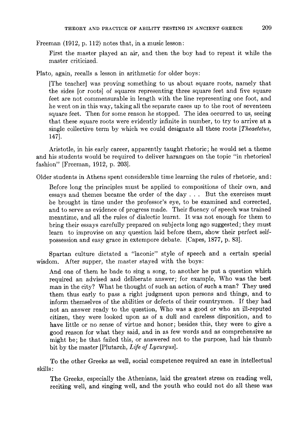Freeman (1912, p. 112) notes that, in a music lesson:

First the master played an air, and then the boy had to repeat it while the master criticized.

Plato, again, recalls a lesson in arithmetic for older boys:

[The teacher] was proving something to us about square roots, namely that the sides [or roots] of squares representing three square feet and five square feet are not commensurable in length with the line representing one foot, and he went on in this way, taking all the separate cases up to the root of seventeen square feet. Then for some reason he stopped. The idea occurred to us, seeing that these square roots were evidently infinite in number, to try to arrive at a single collective term by which we could designate all these roots [Theaetetus, 1471.

Aristotle, in his early career, apparently taught rhetoric; he would set a theme and his students would be required to deliver harangues on the topic ''in rhetorical fashion'' [Freeman, 1912, p. 2031.

Older students in Athens spent considerable time learning the rules of rhetoric, and :

Before long the principles must be applied to compositions of their own, and essays and themes became the order of the day . . . But the exercises must be brought in time under the professor's eye, to be examined and corrected, and to serve as evidence of progress made. Their fluency of speech was trained meantime, and all the rules of dialectic learnt. It was not enough for them to bring their essays carefully prepared on subjects long ago suggested; they must learn to improvise on any question laid before them, show their perfect selfpossession and easy grace in extempore debate. [Capes, 1877, p. 831.

Spartan culture dictated a "laconic" style of speech and a certain special wisdom. After supper, the master stayed with the boys:

And one of them he bade to sing a song, to another he put a question which required an advised and deliberate answer; for example, Who was the best man in the city? What he thought of such an action of such a man? They used them thus early to pass a right judgment upon persons and things, and to inform themselves of the abilities or defects of their countrymen. If they had not an answer ready to the question, Who was a good or who an ill-reputed citizen, they were looked upon as of a dull and careless disposition, and to have little or no sense of virtue and honor; besides this, they were to give a good reason for what they said, and in as few words and as comprehensive as might be; he that failed this, or answered not to the purpose, had his thumb bit by the master [Plutarch, Life *of* Lycurgus].

To the other Greeks as well, social competence required an ease in intellectual skills :

The Greeks, especially the Athenians, laid the greatest stress on reading well, reciting well, and singing well, and the youth who could not do all these was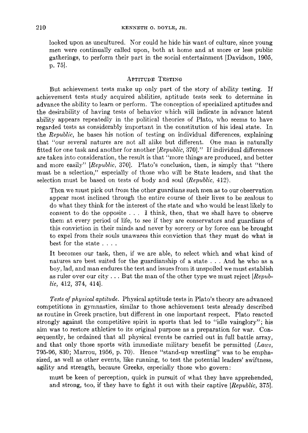looked upon as uncultured. Nor could he hide his want of culture, since young men were continually called upon, both at home and at more or less public gatherings, to perform their part in the social entertainment [Davidson, 1905, p. **751.** 

### **APTITUDE TESTING**

But achievement tests make up only part of the story of ability testing. If achievement tests study acquired abilities, aptitude tests seek to determine in advance the ability to learn or perform. The conception of specialized aptitudes and the desirability of having tests of behavior which will indicate in advance latent ability appears repeatedly in the political theories of Plato, who seems to have regarded tests as considerably important in the constitution of his ideal state. In the *Republic,* he bases his notion of testing on individual differences, explaining that "our several natures are not all alike but different. One man is naturally fitted for one task and another for another *[Republic,* **3701."** If individual differences are taken into consideration, the result is that "more things are produced, and better and more easily" *[Republic, 370]*. Plato's conclusion, then, is simply that "there must be **a** selection," especially of those who will be State leaders, and that the selection must be based on tests of body and soul *(Republic,* **412).** 

Then we must pick out from the other guardians such men as to our observation appear most inclined through the entire course of their lives to be zealous to do what they think for the interest of the state and who would be least likely to consent to do the opposite . . . I think, then, that we shall have to observe them at every period of life, to see if they are conservators and guardians of this conviction in their minds and never by sorcery or by force can be brought to expel from their souls unawares this conviction that they must do what is best for the state . . . .

It becomes our task, then, if we are able, to select which and what kind of natures are best suited for the guardianship of a state . . . And he who as a boy, lad, and man endures the test and issues from it unspoiled we must establish as ruler over our city . . . But the man of the other type we must reject *[Republic*, 412, 374, 414.

*Tests of physical aptitude.* Physical aptitude tests in Plato's theory are advanced competitions in gymnastics, similar to those achievement tests already described as routine in Greek practice, but different in one important respect. Plato reacted strongly against the competitive spirit in sports that led to "idle vainglory"; his aim was to restore athletics to its original purpose as a preparation for war. Consequently, he ordained that all physical events be carried out in full battle array, and that only those sports with immediate military benefit be permitted *(Laws,*  **795-96, 830; Marrou, 1956, p. 70). Hence "stand-up wrestling" was to be empha**sized, as well as other events, like running, to test the potential leaders' swiftness, agility and strength, because Greeks, especially those who govern:

must be keen of perception, quick in pursuit of what they have apprehended, and strong, too, if they have to fight it out with their captive *[Republic, 375]*.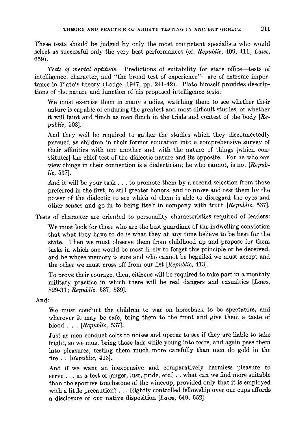These tests should be judged by only the most competent specialists who would select as successful only the very best performances (cf. *Republic,* **409, 411;** *Laws,*  **659).** 

Predictions of suitability for state office-tests of *Tests of mental aptitude.*  intelligence, character, and "the broad test of experience"-are of extreme importance in Plato's theory (Lodge, **1947,** pp. **241-42).** Plato himself provides descriptions of the nature and function of his proposed intelligence tests:

We must exercise them in many studies, watching them to see whether their nature is capable of enduring the greatest and most difficult studies, or whether it will faint and flinch as men flinch in the trials and contest of the body *[Republic,* **5031.** 

And they well be required to gather the studies which they disconnectedly pursued as children in their former education into a comprehensive survey of their affinities with one another and with the nature of things [which constitutes] the chief test of the dialectic nature and its opposite. For he who can view things in their connection is a dialectician; he who cannot, is not *[Republic*, 537].

And it will be your task . . . to promote them by a second selection from those preferred in the first, to still greater honors, and to prove and test them by the power of the dialectic to see which of them is able to disregard the eyes and other senses and go in to being itself in company with truth *[Republic,* **5371.** 

Tests of character are oriented to personality characteristics required of leaders:

We must look for those who are the best guardians of the indwelling conviction that what they have to do is what they at any time believe to be best for the state. Then we must observe them from childhood up and propose for them tasks in which one would be most likely to forget this principle or be deceived, and he whose memory is sure and who cannot be beguiled we must accept and the other we must cross off from our list *[Republic,* **4131.** 

To prove their courage, then, citizens will be required to take part in a monthly military practice in which there will be real dangers and casualties *[Laws,*  **829-31** ; *Republic,* **537, 5391.** 

And:

We must conduct the children to war on horseback to be spectators, and wherever it may be safe, bring them to the front and give them a taste of blood . . . *[Republic,* **5371.** 

Just as men conduct colts to noises and uproar to see if they are liable to take fright, so we must bring those lads while young into fears, and again pass them into pleasures, testing them much more carefully than men do gold in the fire . . *[Republic,* **4131.** 

And if we want an inexpensive and comparatively harmless pleasure to serve . . . as a test of [anger, lust, pride, etc.] . . what can we find more suitable than the sportive touchstone of the winecup, provided only that it is employed with a little precaution? . . . Rightly controlled fellowship over our cups affords **a** disclosure of our native disposition *[Laws,* **649, 6521.**